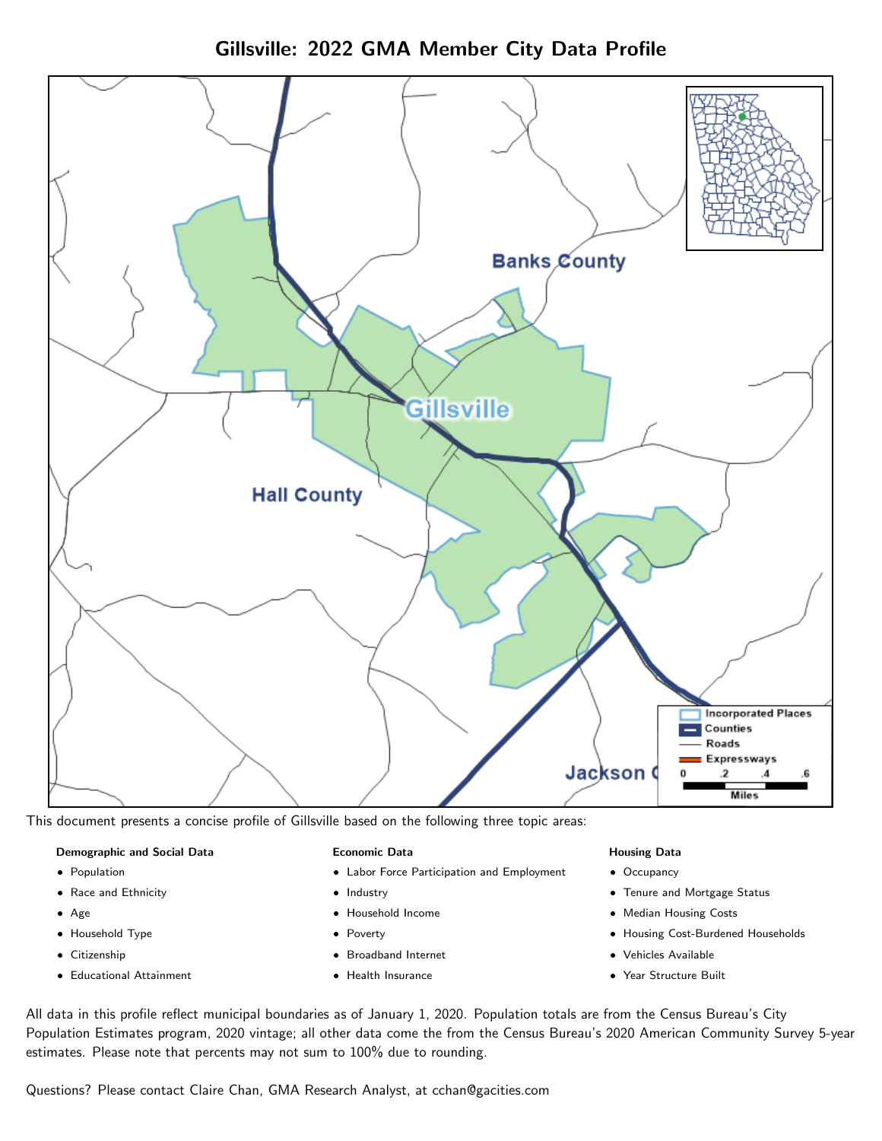



This document presents a concise profile of Gillsville based on the following three topic areas:

#### Demographic and Social Data

- **•** Population
- Race and Ethnicity
- Age
- Household Type
- **Citizenship**
- Educational Attainment

#### Economic Data

- Labor Force Participation and Employment
- Industry
- Household Income
- Poverty
- Broadband Internet
- Health Insurance

#### Housing Data

- Occupancy
- Tenure and Mortgage Status
- Median Housing Costs
- Housing Cost-Burdened Households
- Vehicles Available
- $\bullet$ Year Structure Built

All data in this profile reflect municipal boundaries as of January 1, 2020. Population totals are from the Census Bureau's City Population Estimates program, 2020 vintage; all other data come the from the Census Bureau's 2020 American Community Survey 5-year estimates. Please note that percents may not sum to 100% due to rounding.

Questions? Please contact Claire Chan, GMA Research Analyst, at [cchan@gacities.com.](mailto:cchan@gacities.com)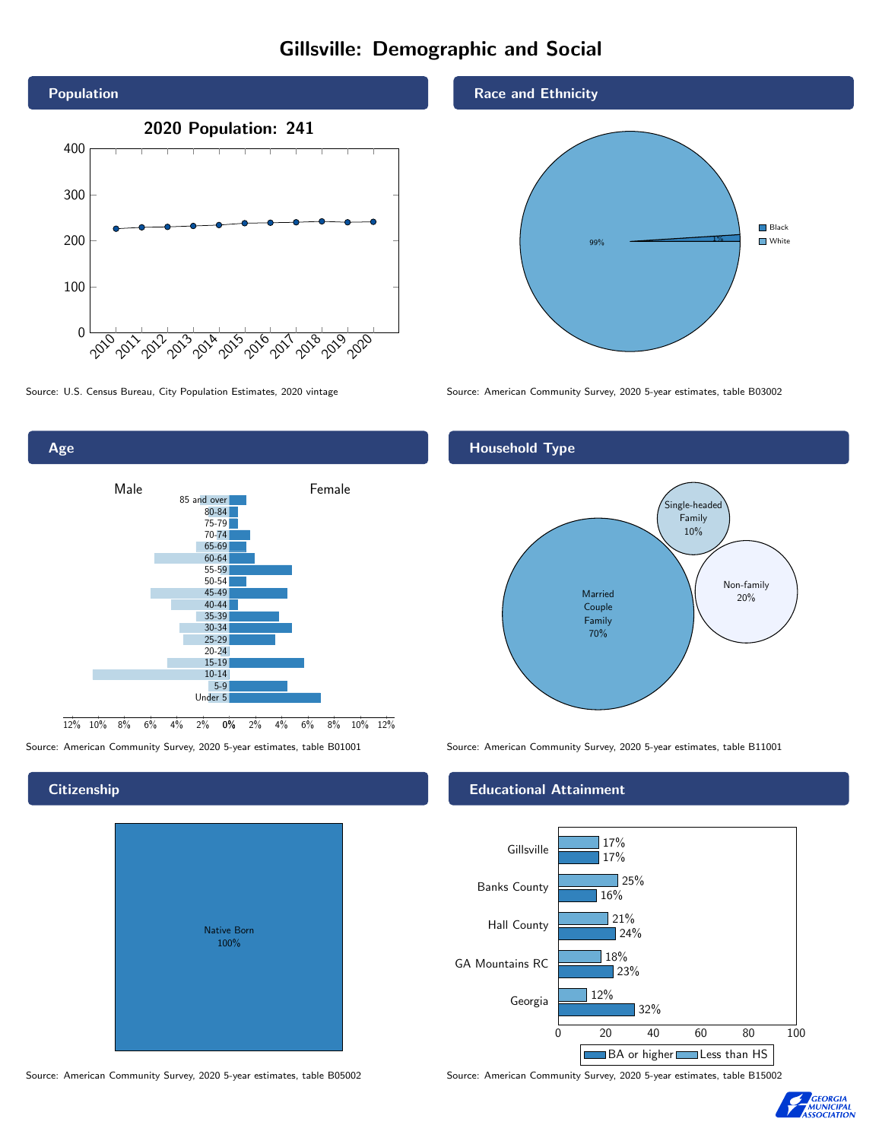# Gillsville: Demographic and Social



Age 0% 2% 4% 6% 8% 10% 12% Male **Female** 12% 10% 8% 6% 4% 2% 85 and over 80-84 75-79 70-74 65-69 60-64 55-59 50-54 45-49 40-44 35-39 30-34 25-29 20-24 15-19 10-14 5-9 Under 5

## **Citizenship**

| <b>Native Born</b> |  |
|--------------------|--|
| 100%               |  |
|                    |  |
|                    |  |
|                    |  |
|                    |  |

Race and Ethnicity



Source: U.S. Census Bureau, City Population Estimates, 2020 vintage Source: American Community Survey, 2020 5-year estimates, table B03002

## Household Type



Source: American Community Survey, 2020 5-year estimates, table B01001 Source: American Community Survey, 2020 5-year estimates, table B11001

### Educational Attainment



Source: American Community Survey, 2020 5-year estimates, table B05002 Source: American Community Survey, 2020 5-year estimates, table B15002

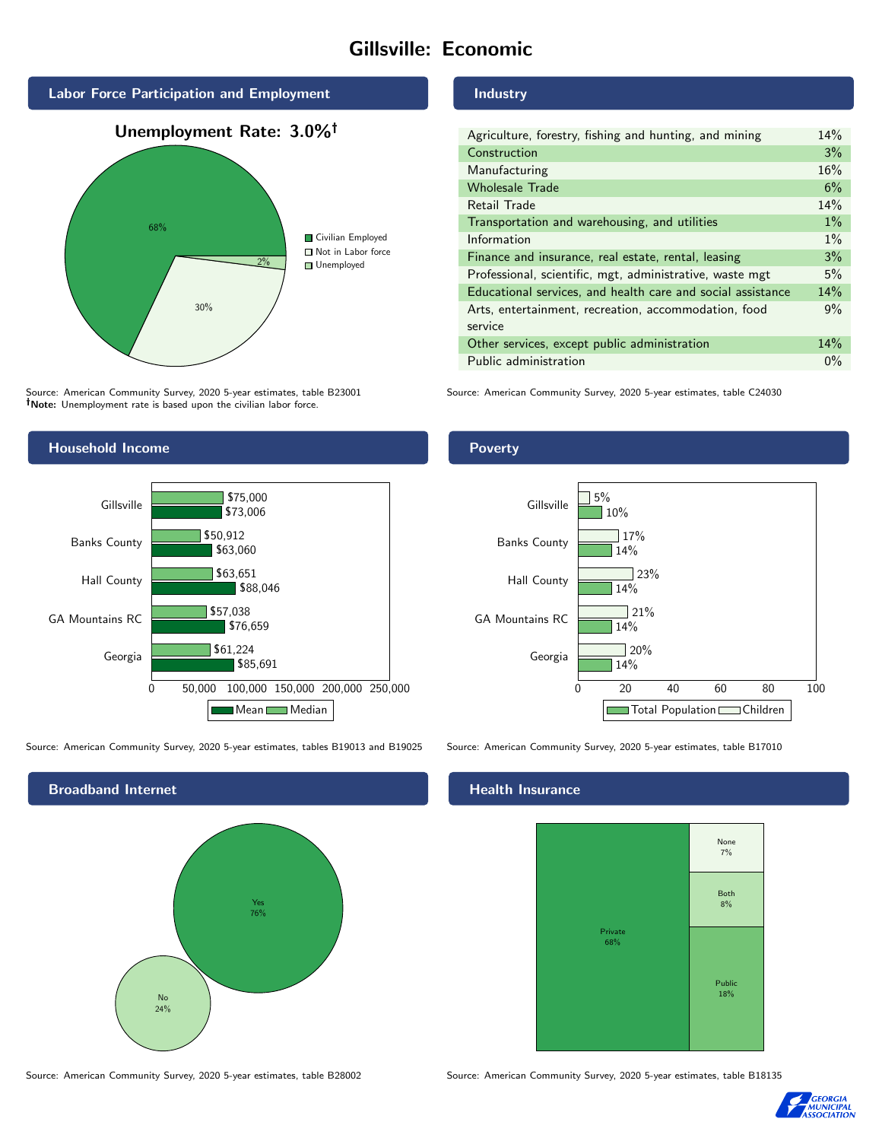# Gillsville: Economic



Source: American Community Survey, 2020 5-year estimates, table B23001 Note: Unemployment rate is based upon the civilian labor force.

### Industry

| Agriculture, forestry, fishing and hunting, and mining      | 14%   |
|-------------------------------------------------------------|-------|
| Construction                                                | 3%    |
| Manufacturing                                               | 16%   |
| <b>Wholesale Trade</b>                                      | 6%    |
| Retail Trade                                                | 14%   |
| Transportation and warehousing, and utilities               | $1\%$ |
| Information                                                 | $1\%$ |
| Finance and insurance, real estate, rental, leasing         | 3%    |
| Professional, scientific, mgt, administrative, waste mgt    | 5%    |
| Educational services, and health care and social assistance | 14%   |
| Arts, entertainment, recreation, accommodation, food        |       |
| service                                                     |       |
| Other services, except public administration                |       |
| Public administration                                       | $0\%$ |

Source: American Community Survey, 2020 5-year estimates, table C24030



Source: American Community Survey, 2020 5-year estimates, tables B19013 and B19025 Source: American Community Survey, 2020 5-year estimates, table B17010

Broadband Internet No 24% Yes 76%

#### Health Insurance



Source: American Community Survey, 2020 5-year estimates, table B28002 Source: American Community Survey, 2020 5-year estimates, table B18135